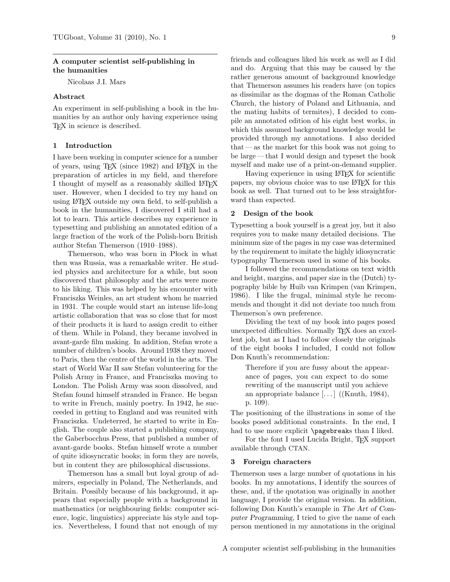### A computer scientist self-publishing in the humanities

Nicolaas J.I. Mars

## Abstract

An experiment in self-publishing a book in the humanities by an author only having experience using TEX in science is described.

## 1 Introduction

I have been working in computer science for a number of years, using TEX (since 1982) and LATEX in the preparation of articles in my field, and therefore I thought of myself as a reasonably skilled LATEX user. However, when I decided to try my hand on using LATEX outside my own field, to self-publish a book in the humanities, I discovered I still had a lot to learn. This article describes my experience in typesetting and publishing an annotated edition of a large fraction of the work of the Polish-born British author Stefan Themerson (1910–1988).

Themerson, who was born in Plock in what then was Russia, was a remarkable writer. He studied physics and architecture for a while, but soon discovered that philosophy and the arts were more to his liking. This was helped by his encounter with Franciszka Weinles, an art student whom he married in 1931. The couple would start an intense life-long artistic collaboration that was so close that for most of their products it is hard to assign credit to either of them. While in Poland, they became involved in avant-garde film making. In addition, Stefan wrote a number of children's books. Around 1938 they moved to Paris, then the centre of the world in the arts. The start of World War II saw Stefan volunteering for the Polish Army in France, and Franciszka moving to London. The Polish Army was soon dissolved, and Stefan found himself stranded in France. He began to write in French, mainly poetry. In 1942, he succeeded in getting to England and was reunited with Franciszka. Undeterred, he started to write in English. The couple also started a publishing company, the Gaberbocchus Press, that published a number of avant-garde books. Stefan himself wrote a number of quite idiosyncratic books; in form they are novels, but in content they are philosophical discussions.

Themerson has a small but loyal group of admirers, especially in Poland, The Netherlands, and Britain. Possibly because of his background, it appears that especially people with a background in mathematics (or neighbouring fields: computer science, logic, linguistics) appreciate his style and topics. Nevertheless, I found that not enough of my

friends and colleagues liked his work as well as I did and do. Arguing that this may be caused by the rather generous amount of background knowledge that Themerson assumes his readers have (on topics as dissimilar as the dogmas of the Roman Catholic Church, the history of Poland and Lithuania, and the mating habits of termites), I decided to compile an annotated edition of his eight best works, in which this assumed background knowledge would be provided through my annotations. I also decided  $that$  — as the market for this book was not going to be large — that I would design and typeset the book myself and make use of a print-on-demand supplier.

Having experience in using LATEX for scientific papers, my obvious choice was to use IATEX for this book as well. That turned out to be less straightforward than expected.

#### 2 Design of the book

Typesetting a book yourself is a great joy, but it also requires you to make many detailed decisions. The minimum size of the pages in my case was determined by the requirement to imitate the highly idiosyncratic typography Themerson used in some of his books.

I followed the recommendations on text width and height, margins, and paper size in the (Dutch) typography bible by Huib van Krimpen (van Krimpen, 1986). I like the frugal, minimal style he recommends and thought it did not deviate too much from Themerson's own preference.

Dividing the text of my book into pages posed unexpected difficulties. Normally TEX does an excellent job, but as I had to follow closely the originals of the eight books I included, I could not follow Don Knuth's recommendation:

Therefore if you are fussy about the appearance of pages, you can expect to do some rewriting of the manuscript until you achieve an appropriate balance [. . . ] ((Knuth, 1984), p. 109).

The positioning of the illustrations in some of the books posed additional constraints. In the end, I had to use more explicit \pagebreaks than I liked.

For the font I used Lucida Bright, TEX support available through CTAN.

## 3 Foreign characters

Themerson uses a large number of quotations in his books. In my annotations, I identify the sources of these, and, if the quotation was originally in another language, I provide the original version. In addition, following Don Knuth's example in The Art of Computer Programming, I tried to give the name of each person mentioned in my annotations in the original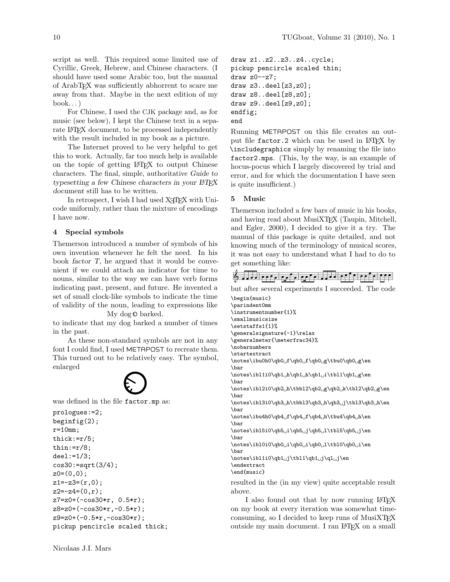script as well. This required some limited use of Cyrillic, Greek, Hebrew, and Chinese characters. (I should have used some Arabic too, but the manual of ArabTEX was sufficiently abhorrent to scare me away from that. Maybe in the next edition of my  $book...$ )

For Chinese, I used the CJK package and, as for music (see below), I kept the Chinese text in a separate LAT<sub>EX</sub> document, to be processed independently with the result included in my book as a picture.

The Internet proved to be very helpful to get this to work. Actually, far too much help is available on the topic of getting LATEX to output Chinese characters. The final, simple, authoritative Guide to typesetting a few Chinese characters in your LATEX document still has to be written.

In retrospect, I wish I had used X<sub>T</sub>T<sub>F</sub>X with Unicode uniformly, rather than the mixture of encodings I have now.

#### 4 Special symbols

Themerson introduced a number of symbols of his own invention whenever he felt the need. In his book factor T, he argued that it would be convenient if we could attach an indicator for time to nouns, similar to the way we can have verb forms indicating past, present, and future. He invented a set of small clock-like symbols to indicate the time of validity of the noun, leading to expressions like My dog  $\odot$  barked.

to indicate that my dog barked a number of times in the past.

As these non-standard symbols are not in any font I could find, I used METAPOST to recreate them. This turned out to be relatively easy. The symbol, enlarged



was defined in the file factor.mp as:

```
prologues:=2;
beginfig(2);
r=10mm;
thick:=r/5;
thin:=r/8;
deel:=1/3;
cos30:=sqrt(3/4);z0=(0,0);z1=-z3=(r,0);z2=-z4=(0,r);z7=z0+(-cos30*r, 0.5*r);
z8=z0+(-cos30*r,-0.5*r);
z9=z0+(-0.5*r,-cos30*r);
pickup pencircle scaled thick;
```

```
draw z1..z2..z3..z4..cycle;
pickup pencircle scaled thin;
draw z0--z7;
draw z3..deel[z3,z0];
draw z8..deel[z8,z0];
draw z9..deel[z9,z0];
endfig;
```
#### end

Running METAPOST on this file creates an output file factor.2 which can be used in LATEX by \includegraphics simply by renaming the file into factor2.mps. (This, by the way, is an example of hocus-pocus which I largely discovered by trial and error, and for which the documentation I have seen is quite insufficient.)

# 5 Music

Themerson included a few bars of music in his books, and having read about MusiXT<sub>F</sub>X (Taupin, Mitchell, and Egler, 2000), I decided to give it a try. The manual of this package is quite detailed, and not knowing much of the terminology of musical scores, it was not easy to understand what I had to do to get something like:



\instrumentnumber{1}% \smallmusicsize \setstaffs1{1}% \generalsignature{-1}\relax \generalmeter{\meterfrac34}% \nobarnumbers \startextract  $\notes\ibu0h0\qb0<sub>u</sub>f\qb0<sub>u</sub>f\qb0<sub>u</sub>g\tbu0\qb0<sub>u</sub>g\en$ \bar  $\notes\ib11i0\qb1<sub>u</sub>h\qb1<sub>u</sub>i\th11\qb1<sub>u</sub>$ en \bar \notes\ibl2i0\qb2 h\tbbl2\qb2 g\qb2 k\tbl2\qb2 g\en \bar  $\label{thm:4} $$\ntotes\ib13i0\qb3_b\tbb13\qb3_b\rbb3\j\tb13\qb3_b\h\en$ \bar  $\label{thm:1} $$\ntes\ibu4h0\qb4_\f\qb4_\f\qb4_\h\tbu4\qb4_\h\en$ \bar  $\n\notesize \not\hspace{0.3mm} \not\hspace{0.3mm} \not\hspace{0.3mm} \not\hspace{0.3mm} \not\hspace{0.3mm} \not\hspace{0.3mm} \not\hspace{0.3mm} \not\hspace{0.3mm} \not\hspace{0.3mm} \not\hspace{0.3mm} \not\hspace{0.3mm} \not\hspace{0.3mm} \not\hspace{0.3mm} \not\hspace{0.3mm} \not\hspace{0.3mm} \not\hspace{0.3mm} \not\hspace{0.3mm} \not\hspace{0.3mm} \not\hspace{0.3mm} \not\hspace{$ \bar  $\label{eq:1} $$\ntes\ibl0i0\qb0_ii\qb0_ii\qb0_1\tbl0\qb0_ii\en$ \bar  $\label{thm:4} $$\nto \t\is{1110\qb1_{j}\tbl1\qb1_{j}\ql_{j}\en}$$$ \endextract \end{music} resulted in the (in my view) quite acceptable result above.

I also found out that by now running LAT<sub>EX</sub> on my book at every iteration was somewhat timeconsuming, so I decided to keep runs of MusiXT<sub>F</sub>X outside my main document. I ran LATEX on a small